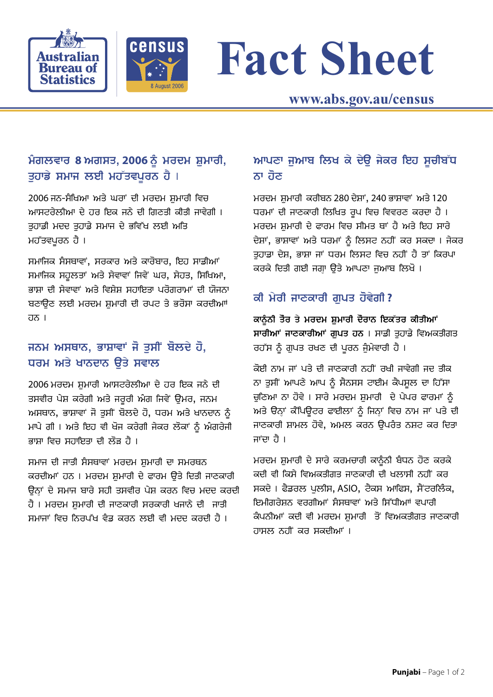



# **Fact Sheet**

#### ਮੰਗਲਵਾਰ 8 ਅਗਸਤ, 2006 ਨੂੰ ਮਰਦਮ ਸ਼ੁਮਾਰੀ, ਤਹਾਡੇ ਸਮਾਜ ਲਈ ਮਹੱਤਵਪਰਨ ਹੈ।

2006 ਜਨ-ਸੰਖਿਆ ਅਤੇ ਘਰਾਂ ਦੀ ਮਰਦਮ ਸ਼ਮਾਰੀ ਵਿਚ ਆਸਟਰੇਲੀਆ ਦੇ ਹਰ ਇਕ ਜਨੇ ਦੀ ਗਿਣਤੀ ਕੀਤੀ ਜਾਵੇਗੀ । ਤੁਹਾਡੀ ਮਦਦ ਤੁਹਾਡੇ ਸਮਾਜ ਦੇ ਭਵਿੱਖ ਲਈ ਅਤਿ ਮਹੱਤਵਪੂਰਨ ਹੈ।

ਸਮਾਜਿਕ ਸੰਸਥਾਵਾਂ, ਸਰਕਾਰ ਅਤੇ ਕਾਰੋਬਾਰ, ਇਹ ਸਾਡੀਆਂ ਸਮਾਜਿਕ ਸਹੂਲਤਾਂ ਅਤੇ ਸੇਵਾਵਾਂ ਜਿਵੇਂ ਘਰ, ਸੇਹਤ, ਸਿਖਿਆ, ਭਾਸ਼ਾ ਦੀ ਸੇਵਾਵਾਂ ਅਤੇ ਵਿਸ਼ੇਸ਼ ਸਹਾਇਤਾ ਪਰੋਗਰਾਮਾਂ ਦੀ ਯੋਜਨਾ ਬਣਾੳਣ ਲਈ ਮਰਦਮ ਸ਼ਮਾਰੀ ਦੀ ਰਪਟ ਤੇ ਭਰੋਸਾ ਕਰਦੀਆਾਂ ਹਨ।

## ਜਨਮ ਅਸਥਾਨ, ਭਾਸ਼ਾਵਾਂ ਜੋ ਤਸੀਂ ਬੋਲਦੇ ਹੋ, ਧਰਮ ਅਤੇ ਖਾਨਦਾਨ ਉਤੇ ਸਵਾਲ

2006 ਮਰਦਮ ਸ਼ਮਾਰੀ ਆਸਟਰੇਲੀਆ ਦੇ ਹਰ ਇਕ ਜਨੇ ਦੀ ਤਸਵੀਰ ਪੇਸ਼ ਕਰੇਗੀ ਅਤੇ ਜਰੂਰੀ ਅੰਗ ਜਿਵੇਂ ਉਮਰ, ਜਨਮ ਅਸਥਾਨ, ਭਾਸ਼ਾਵਾਂ ਜੋ ਤਸੀਂ ਬੋਲਦੇ ਹੋ, ਧਰਮ ਅਤੇ ਖਾਨਦਾਨ ਨੂੰ ਮਾਪੇ ਗੀ। ਅਤੇ ਇਹ ਵੀ ਖੋਜ ਕਰੇਗੀ ਜੇਕਰ ਲੋਕਾਂ ਨੂੰ ਅੰਗਰੇਜੀ ਭਾਸ਼ਾ ਵਿਚ ਸਹਾਇਤਾ ਦੀ ਲੋੜ ਹੈ ।

ਸਮਾਜ ਦੀ ਜਾਤੀ ਸੰਸਥਾਵਾਂ ਮਰਦਮ ਸ਼ਮਾਰੀ ਦਾ ਸਮਰਥਨ ਕਰਦੀਆਂ ਹਨ । ਮਰਦਮ ਸ਼ਮਾਰੀ ਦੇ ਫਾਰਮ ੳਤੇ ਦਿਤੀ ਜਾਣਕਾਰੀ ਉਨਾਂ ਦੇ ਸਮਾਜ ਬਾਰੇ ਸਹੀ ਤਸਵੀਰ ਪੇਸ਼ ਕਰਨ ਵਿਚ ਮਦਦ ਕਰਦੀ ਹੈ । ਮਰਦਮ ਸ਼ਮਾਰੀ ਦੀ ਜਾਣਕਾਰੀ ਸਰਕਾਰੀ ਖਜਾਨੇ ਦੀ ਜਾਤੀ ਸਮਾਜਾਂ ਵਿਚ ਨਿਰਪੱਖ ਵੰਡ ਕਰਨ ਲਈ ਵੀ ਮਦਦ ਕਰਦੀ ਹੈ ।

## ਆਪਣਾ ਜੁਆਬ ਲਿਖ ਕੇ ਦੇਉ ਜੇਕਰ ਇਹ ਸੁਚੀਬੱਧ ਨਾ ਹੋਣ

ਮਰਦਮ ਸ਼ਮਾਰੀ ਕਰੀਬਨ 280 ਦੇਸ਼ਾਂ, 240 ਭਾਸ਼ਾਵਾਂ ਅਤੇ 120 ਧਰਮਾਂ ਦੀ ਜਾਣਕਾਰੀ ਲਿਖਿਤ ਰੂਪ ਵਿਚ ਵਿਵਰਣ ਕਰਦਾ ਹੈ । ਮਰਦਮ ਸ਼ਮਾਰੀ ਦੇ ਫਾਰਮ ਵਿਚ ਸੀਮਤ ਥਾਂ ਹੈ ਅਤੇ ਇਹ ਸਾਰੇ ਦੇਸ਼ਾਂ, ਭਾਸ਼ਾਵਾਂ ਅਤੇ ਧਰਮਾਂ ਨੂੰ ਲਿਸਟ ਨਹੀਂ ਕਰ ਸਕਦਾ। ਜੇਕਰ ਤਹਾਡਾ ਦੇਸ਼, ਭਾਸ਼ਾ ਜਾਂ ਧਰਮ ਲਿਸਟ ਵਿਚ ਨਹੀਂ ਹੈ ਤਾਂ ਕਿਰਪਾ ਕਰਕੇ ਦਿਤੀ ਗਈ ਜਗਾ ਉਤੇ ਆਪਣਾ ਜਆਬ ਲਿਖੋ।

### ਕੀ ਮੇਰੀ ਜਾਣਕਾਰੀ ਗੁਪਤ ਹੋਵੇਗੀ?

ਕਾਨੂੰਨੀ ਤੌਰ ਤੇ ਮਰਦਮ ਸ਼ੁਮਾਰੀ ਦੌਰਾਨ ਇਕੱਤਰ ਕੀਤੀਆਂ ਸਾਰੀਆਂ ਜਾਣਕਾਰੀਆਂ ਗਪਤ ਹਨ। ਸਾਡੀ ਤਹਾਡੇ ਵਿਅਕਤੀਗਤ ਰਹੱਸ ਨੂੰ ਗੁਪਤ ਰਖਣ ਦੀ ਪੂਰਨ ਜੁੰਮੇਵਾਰੀ ਹੈ।

ਕੋਈ ਨਾਮ ਜਾਂ ਪਤੇ ਦੀ ਜਾਣਕਾਰੀ ਨਹੀਂ ਰਖੀ ਜਾਵੇਗੀ ਜਦ ਤੀਕ ਨਾ ਤੁਸੀਂ ਆਪਣੇ ਆਪ ਨੂੰ ਸੈਨਸਸ ਟਾਈਮ ਕੈਪਸੂਲ ਦਾ ਹਿੱਸਾ ਚੁਣਿਆ ਨਾ ਹੋਵੇ। ਸਾਰੇ ਮਰਦਮ ਸ਼ੁਮਾਰੀ ਦੇ ਪੇਪਰ ਫਾਰਮਾਂ ਨੂੰ ਅਤੇ ੳਨ੍ਹਾਂ ਕੇੰਪਿਊਟਰ ਫਾਈਲਾਂ ਨੂੰ ਜਿਨ੍ਹਾਂ ਵਿਚ ਨਾਮ ਜਾਂ ਪਤੇ ਦੀ ਜਾਣਕਾਰੀ ਸ਼ਾਮਲ ਹੋਵੇ, ਅਮਲ ਕਰਨ ਉਪਰੰਤ ਨਸ਼ਟ ਕਰ ਦਿਤਾ ਜਾਂਦਾ ਹੈ ।

ਮਰਦਮ ਸ਼ਮਾਰੀ ਦੇ ਸਾਰੇ ਕਰਮਚਾਰੀ ਕਾਨੂੰਨੀ ਬੰਧਨ ਹੋਣ ਕਰਕੇ ਕਦੀ ਵੀ ਕਿਸੇ ਵਿਅਕਤੀਗਤ ਜਾਣਕਾਰੀ ਦੀ ਖਲਾਸੀ ਨਹੀਂ ਕਰ ਸਕਦੇ। ਫੈਡਰਲ ਪਲੀਸ, ASIO, ਟੈਕਸ ਆਫਿਸ, ਸੈਂਟਰਲਿੰਕ, ਇਮੀਗਰੇਸ਼ਨ ਵਰਗੀਆਂ ਸੰਸਥਾਵਾਂ ਅਤੇ ਸਿੱਧੀਆਂ ਵਪਾਰੀ ਕੰਪਨੀਆਂ ਕਦੀ ਵੀ ਮਰਦਮ ਸ਼ੁਮਾਰੀ ਤੋਂ ਵਿਅਕਤੀਗਤ ਜਾਣਕਾਰੀ ਹਾਸਲ ਨਹੀਂ ਕਰ ਸਕਦੀਆਂ ।